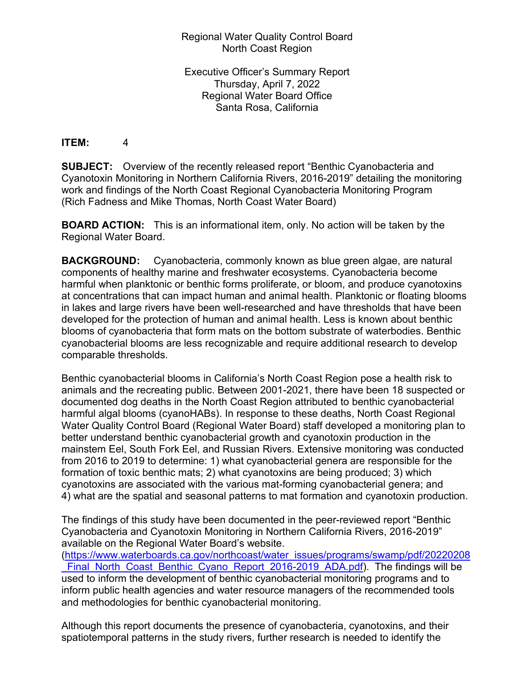### Regional Water Quality Control Board North Coast Region

Executive Officer's Summary Report Thursday, April 7, 2022 Regional Water Board Office Santa Rosa, California

### **ITEM:** 4

**SUBJECT:** Overview of the recently released report "Benthic Cyanobacteria and Cyanotoxin Monitoring in Northern California Rivers, 2016-2019" detailing the monitoring work and findings of the North Coast Regional Cyanobacteria Monitoring Program (Rich Fadness and Mike Thomas, North Coast Water Board)

**BOARD ACTION:** This is an informational item, only. No action will be taken by the Regional Water Board.

**BACKGROUND:** Cyanobacteria, commonly known as blue green algae, are natural components of healthy marine and freshwater ecosystems. Cyanobacteria become harmful when planktonic or benthic forms proliferate, or bloom, and produce cyanotoxins at concentrations that can impact human and animal health. Planktonic or floating blooms in lakes and large rivers have been well-researched and have thresholds that have been developed for the protection of human and animal health. Less is known about benthic blooms of cyanobacteria that form mats on the bottom substrate of waterbodies. Benthic cyanobacterial blooms are less recognizable and require additional research to develop comparable thresholds.

Benthic cyanobacterial blooms in California's North Coast Region pose a health risk to animals and the recreating public. Between 2001-2021, there have been 18 suspected or documented dog deaths in the North Coast Region attributed to benthic cyanobacterial harmful algal blooms (cyanoHABs). In response to these deaths, North Coast Regional Water Quality Control Board (Regional Water Board) staff developed a monitoring plan to better understand benthic cyanobacterial growth and cyanotoxin production in the mainstem Eel, South Fork Eel, and Russian Rivers. Extensive monitoring was conducted from 2016 to 2019 to determine: 1) what cyanobacterial genera are responsible for the formation of toxic benthic mats; 2) what cyanotoxins are being produced; 3) which cyanotoxins are associated with the various mat-forming cyanobacterial genera; and 4) what are the spatial and seasonal patterns to mat formation and cyanotoxin production.

The findings of this study have been documented in the peer-reviewed report "Benthic Cyanobacteria and Cyanotoxin Monitoring in Northern California Rivers, 2016-2019" available on the Regional Water Board's website.

([https://www.waterboards.ca.gov/northcoast/water\\_issues/programs/swamp/pdf/20220208](https://www.waterboards.ca.gov/northcoast/water_issues/programs/swamp/pdf/20220208_Final_North_Coast_Benthic_Cyano_Report_2016-2019_ADA.pdf) Linal North Coast Benthic Cyano Report 2016-2019 ADA.pdf). The findings will be used to inform the development of benthic cyanobacterial monitoring programs and to inform public health agencies and water resource managers of the recommended tools and methodologies for benthic cyanobacterial monitoring.

Although this report documents the presence of cyanobacteria, cyanotoxins, and their spatiotemporal patterns in the study rivers, further research is needed to identify the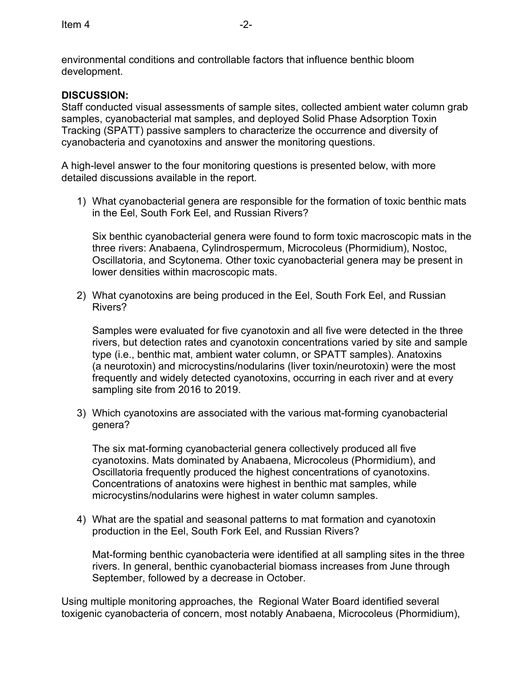environmental conditions and controllable factors that influence benthic bloom development.

### **DISCUSSION:**

Staff conducted visual assessments of sample sites, collected ambient water column grab samples, cyanobacterial mat samples, and deployed Solid Phase Adsorption Toxin Tracking (SPATT) passive samplers to characterize the occurrence and diversity of cyanobacteria and cyanotoxins and answer the monitoring questions.

A high-level answer to the four monitoring questions is presented below, with more detailed discussions available in the report.

1) What cyanobacterial genera are responsible for the formation of toxic benthic mats in the Eel, South Fork Eel, and Russian Rivers?

Six benthic cyanobacterial genera were found to form toxic macroscopic mats in the three rivers: Anabaena, Cylindrospermum, Microcoleus (Phormidium), Nostoc, Oscillatoria, and Scytonema. Other toxic cyanobacterial genera may be present in lower densities within macroscopic mats.

2) What cyanotoxins are being produced in the Eel, South Fork Eel, and Russian Rivers?

Samples were evaluated for five cyanotoxin and all five were detected in the three rivers, but detection rates and cyanotoxin concentrations varied by site and sample type (i.e., benthic mat, ambient water column, or SPATT samples). Anatoxins (a neurotoxin) and microcystins/nodularins (liver toxin/neurotoxin) were the most frequently and widely detected cyanotoxins, occurring in each river and at every sampling site from 2016 to 2019.

3) Which cyanotoxins are associated with the various mat-forming cyanobacterial genera?

The six mat-forming cyanobacterial genera collectively produced all five cyanotoxins. Mats dominated by Anabaena, Microcoleus (Phormidium), and Oscillatoria frequently produced the highest concentrations of cyanotoxins. Concentrations of anatoxins were highest in benthic mat samples, while microcystins/nodularins were highest in water column samples.

4) What are the spatial and seasonal patterns to mat formation and cyanotoxin production in the Eel, South Fork Eel, and Russian Rivers?

Mat-forming benthic cyanobacteria were identified at all sampling sites in the three rivers. In general, benthic cyanobacterial biomass increases from June through September, followed by a decrease in October.

Using multiple monitoring approaches, the Regional Water Board identified several toxigenic cyanobacteria of concern, most notably Anabaena, Microcoleus (Phormidium),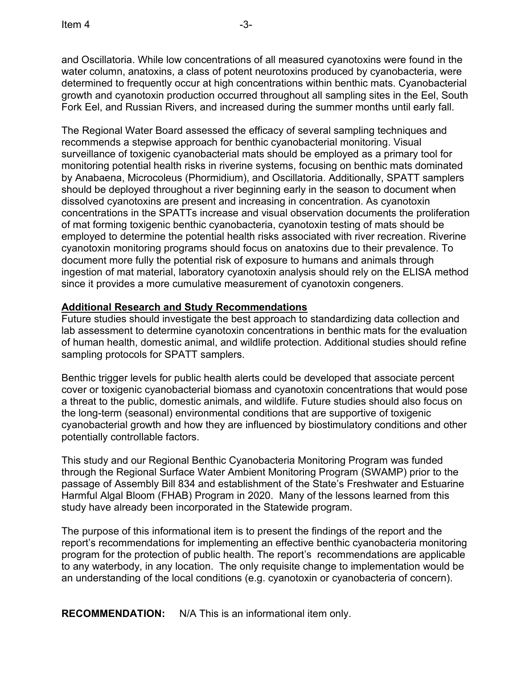and Oscillatoria. While low concentrations of all measured cyanotoxins were found in the water column, anatoxins, a class of potent neurotoxins produced by cyanobacteria, were determined to frequently occur at high concentrations within benthic mats. Cyanobacterial growth and cyanotoxin production occurred throughout all sampling sites in the Eel, South Fork Eel, and Russian Rivers, and increased during the summer months until early fall.

The Regional Water Board assessed the efficacy of several sampling techniques and recommends a stepwise approach for benthic cyanobacterial monitoring. Visual surveillance of toxigenic cyanobacterial mats should be employed as a primary tool for monitoring potential health risks in riverine systems, focusing on benthic mats dominated by Anabaena, Microcoleus (Phormidium), and Oscillatoria. Additionally, SPATT samplers should be deployed throughout a river beginning early in the season to document when dissolved cyanotoxins are present and increasing in concentration. As cyanotoxin concentrations in the SPATTs increase and visual observation documents the proliferation of mat forming toxigenic benthic cyanobacteria, cyanotoxin testing of mats should be employed to determine the potential health risks associated with river recreation. Riverine cyanotoxin monitoring programs should focus on anatoxins due to their prevalence. To document more fully the potential risk of exposure to humans and animals through ingestion of mat material, laboratory cyanotoxin analysis should rely on the ELISA method since it provides a more cumulative measurement of cyanotoxin congeners.

## **Additional Research and Study Recommendations**

Future studies should investigate the best approach to standardizing data collection and lab assessment to determine cyanotoxin concentrations in benthic mats for the evaluation of human health, domestic animal, and wildlife protection. Additional studies should refine sampling protocols for SPATT samplers.

Benthic trigger levels for public health alerts could be developed that associate percent cover or toxigenic cyanobacterial biomass and cyanotoxin concentrations that would pose a threat to the public, domestic animals, and wildlife. Future studies should also focus on the long-term (seasonal) environmental conditions that are supportive of toxigenic cyanobacterial growth and how they are influenced by biostimulatory conditions and other potentially controllable factors.

This study and our Regional Benthic Cyanobacteria Monitoring Program was funded through the Regional Surface Water Ambient Monitoring Program (SWAMP) prior to the passage of Assembly Bill 834 and establishment of the State's Freshwater and Estuarine Harmful Algal Bloom (FHAB) Program in 2020. Many of the lessons learned from this study have already been incorporated in the Statewide program.

The purpose of this informational item is to present the findings of the report and the report's recommendations for implementing an effective benthic cyanobacteria monitoring program for the protection of public health. The report's recommendations are applicable to any waterbody, in any location. The only requisite change to implementation would be an understanding of the local conditions (e.g. cyanotoxin or cyanobacteria of concern).